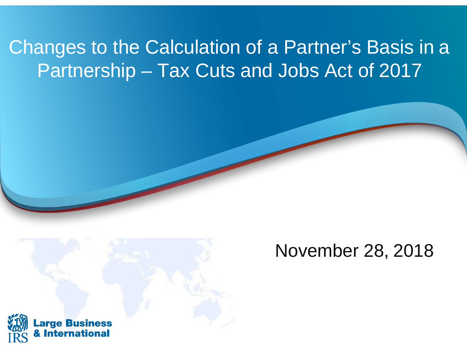#### Changes to the Calculation of a Partner's Basis in a Partnership – Tax Cuts and Jobs Act of 2017



#### November 28, 2018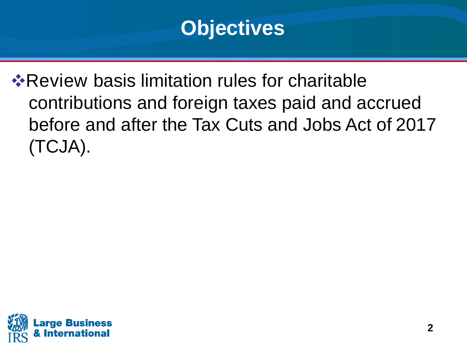

 before and after the Tax Cuts and Jobs Act of 2017 ❖Review basis limitation rules for charitable contributions and foreign taxes paid and accrued (TCJA).

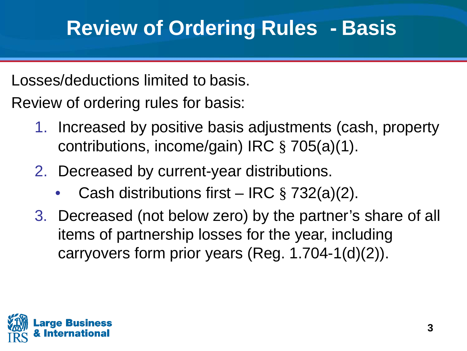#### **Review of Ordering Rules - Basis**

Losses/deductions limited to basis.

Review of ordering rules for basis:

- 1. Increased by positive basis adjustments (cash, property contributions, income/gain) IRC § 705(a)(1).
- 2. Decreased by current-year distributions.
	- Cash distributions first IRC  $\S 732(a)(2)$ .
- 3. Decreased (not below zero) by the partner's share of all carryovers form prior years (Reg. 1.704-1(d)(2)). items of partnership losses for the year, including

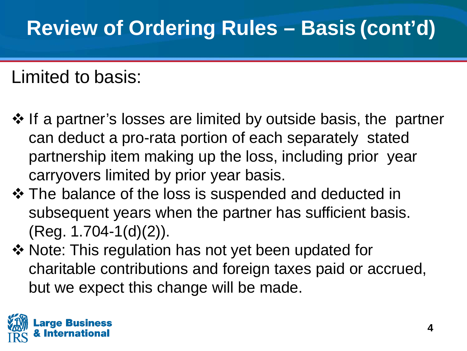#### **Review of Ordering Rules – Basis (cont'd)**

Limited to basis:

- partnership item making up the loss, including prior year carryovers limited by prior year basis. ❖ If a partner's losses are limited by outside basis, the partner can deduct a pro-rata portion of each separately stated
- The balance of the loss is suspended and deducted in subsequent years when the partner has sufficient basis. (Reg. 1.704-1(d)(2)).
- ❖ Note: This regulation has not yet been updated for charitable contributions and foreign taxes paid or accrued, but we expect this change will be made.

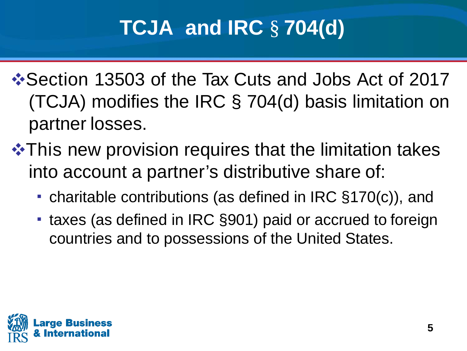# **TCJA and IRC** § **704(d)**

- ❖Section 13503 of the Tax Cuts and Jobs Act of 2017 (TCJA) modifies the IRC § 704(d) basis limitation on partner losses.
- **❖This new provision requires that the limitation takes** into account a partner's distributive share of:
	- charitable contributions (as defined in IRC §170(c)), and
	- taxes (as defined in IRC §901) paid or accrued to foreign countries and to possessions of the United States.

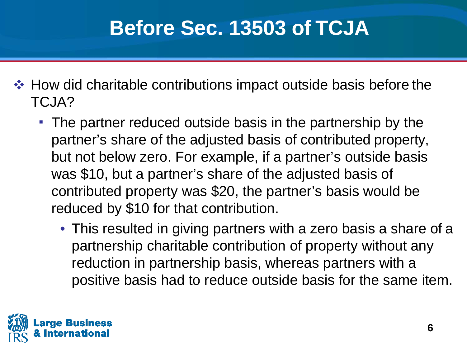#### **Before Sec. 13503 of TCJA**

- ❖ How did charitable contributions impact outside basis before the TCJA?
	- ▪ The partner reduced outside basis in the partnership by the but not below zero. For example, if a partner's outside basis<br>was \$10, but a partner's share of the adjusted basis of was \$10, but a partner's share of the adjusted basis of contributed property was \$20, the partner's basis would be partner's share of the adjusted basis of contributed property, reduced by \$10 for that contribution.
		- partnership charitable contribution of property without any reduction in partnership basis, whereas partners with a reduction in partnership basis, whereas partners with a • This resulted in giving partners with a zero basis a share of a positive basis had to reduce outside basis for the same item.

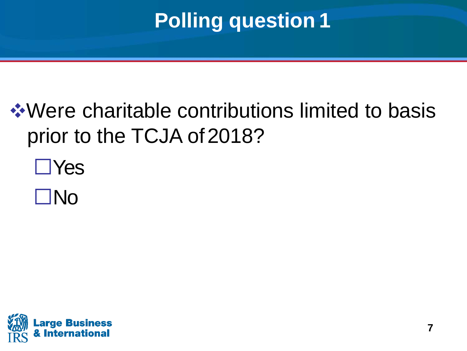# **Polling question 1**

# ❖Were charitable contributions limited to basis prior to the TCJA of2018?

**□Yes** 

No

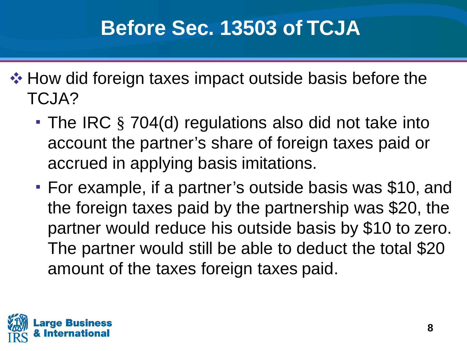#### **Before Sec. 13503 of TCJA**

- ❖ How did foreign taxes impact outside basis before the TCJA?
	- The IRC § 704(d) regulations also did not take into account the partner's share of foreign taxes paid or accrued in applying basis imitations.
	- For example, if a partner's outside basis was \$10, and the foreign taxes paid by the partnership was \$20, the partner would reduce his outside basis by \$10 to zero. The partner would still be able to deduct the total \$20 amount of the taxes foreign taxes paid.

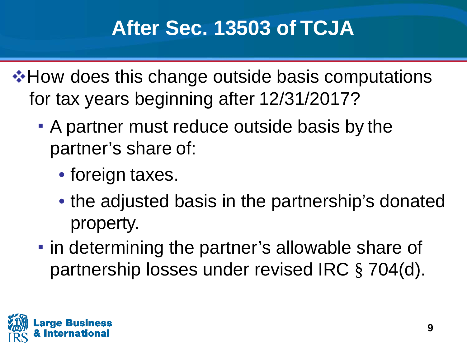❖How does this change outside basis computations for tax years beginning after 12/31/2017?

- A partner must reduce outside basis by the partner's share of:
	- foreign taxes.
	- the adjusted basis in the partnership's donated property.
- in determining the partner's allowable share of partnership losses under revised IRC § 704(d).

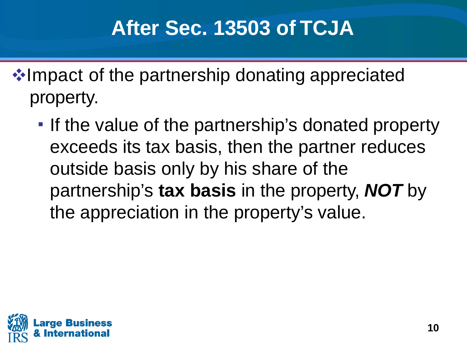- ❖Impact of the partnership donating appreciated property.
	- **.** If the value of the partnership's donated property exceeds its tax basis, then the partner reduces outside basis only by his share of the partnership's **tax basis** in the property, *NOT* by the appreciation in the property's value.

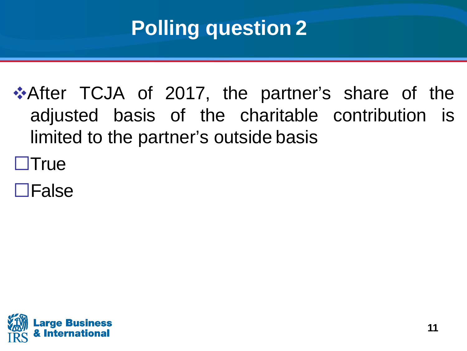# **Polling question 2**

❖After TCJA of 2017, the partner's share of the adjusted basis of the charitable contribution is limited to the partner's outside basis

**OTrue** 

False

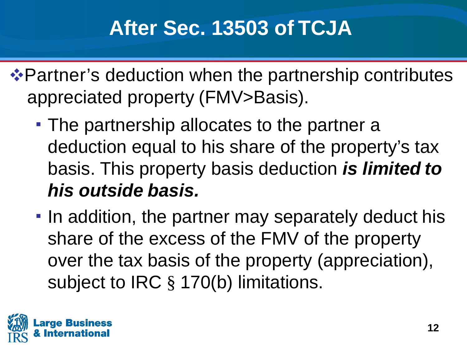❖Partner's deduction when the partnership contributes appreciated property (FMV>Basis).

- **The partnership allocates to the partner a** deduction equal to his share of the property's tax basis. This property basis deduction *is limited to his outside basis.*
- In addition, the partner may separately deduct his over the tax basis of the property (appreciation),<br>subject to IRC § 170(b) limitations. share of the excess of the FMV of the property

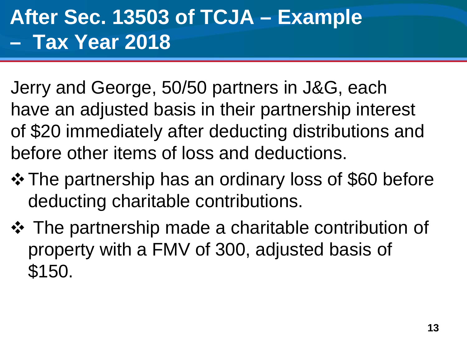# **After Sec. 13503 of TCJA – Example – Tax Year 2018**

 Jerry and George, 50/50 partners in J&G, each have an adjusted basis in their partnership interest of \$20 immediately after deducting distributions and before other items of loss and deductions.

- ❖ The partnership has an ordinary loss of \$60 before deducting charitable contributions.
- ❖ The partnership made a charitable contribution of property with a FMV of 300, adjusted basis of \$150.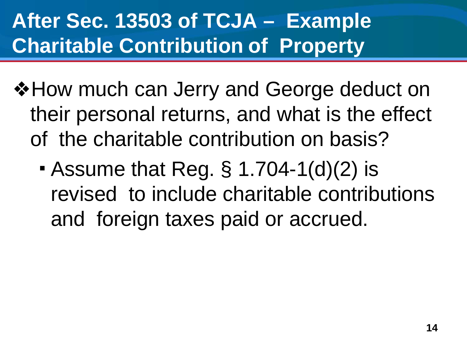# **After Sec. 13503 of TCJA – Example Charitable Contribution of Property**

- ❖How much can Jerry and George deduct on their personal returns, and what is the effect of the charitable contribution on basis?
	- $\blacktriangleright$  Assume that Reg. § 1.704-1(d)(2) is revised to include charitable contributions and foreign taxes paid or accrued.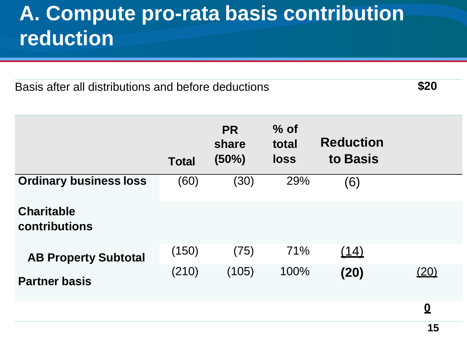#### **A. Compute pro-rata basis contribution reduction**

Basis after all distributions and before deductions **\$20**

**Total PR share (50%) % of total loss Reduction to Basis Ordinary business loss** (60) (30) 29% (6) **Charitable contributions**  (150) (75) 71% (14) **AB Property Subtotal**  (210) (105) 100% **(20)** (20) **Partner basis**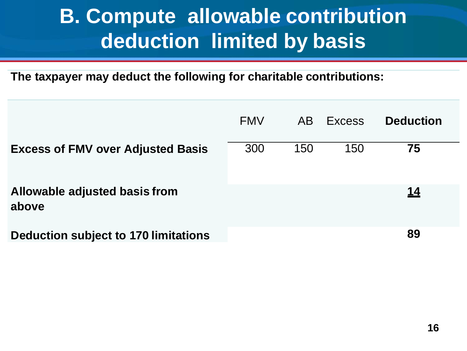#### **B. Compute allowable contribution deduction limited by basis**

**The taxpayer may deduct the following for charitable contributions:**

|                                          | <b>FMV</b> | AB. | <b>Excess</b> | <b>Deduction</b> |
|------------------------------------------|------------|-----|---------------|------------------|
| <b>Excess of FMV over Adjusted Basis</b> | 300        | 150 | 150           | 75               |
| Allowable adjusted basis from<br>above   |            |     |               | <u>14</u>        |
| Deduction subject to 170 limitations     |            |     |               | 89               |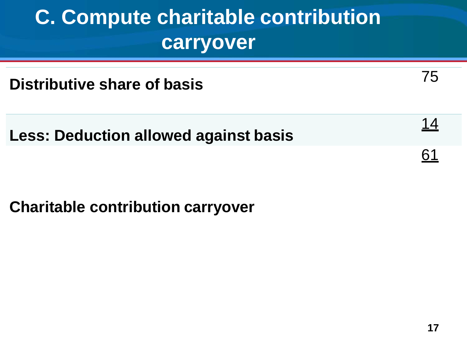#### **C. Compute charitable contribution carryover**

**Distributive share of basis** 

**Less: Deduction allowed against basis** 

**Charitable contribution carryover** 

75

14

61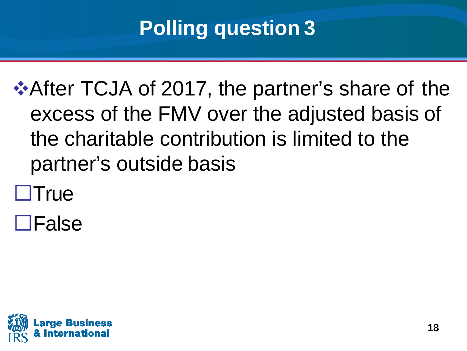# **Polling question 3**

# the charitable contribution is limited to the<br>partner's outside basis ❖After TCJA of 2017, the partner's share of the excess of the FMV over the adjusted basis of

- **OTrue**
- False

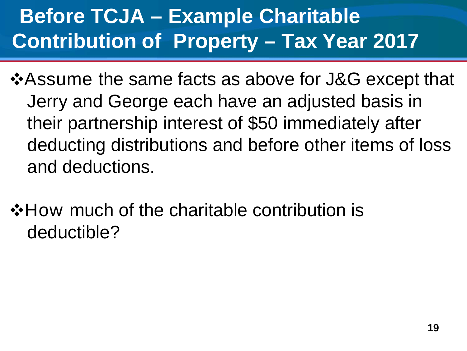## **Before TCJA – Example Charitable Contribution of Property – Tax Year 2017**

- ❖Assume the same facts as above for J&G except that Jerry and George each have an adjusted basis in their partnership interest of \$50 immediately after deducting distributions and before other items of loss and deductions.
- ❖How much of the charitable contribution is deductible?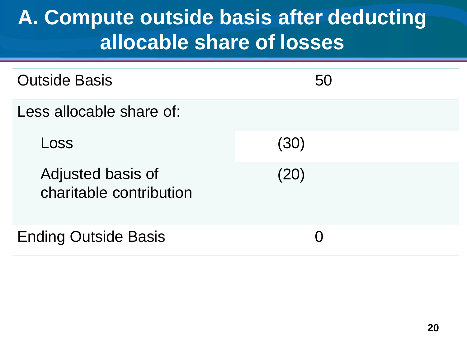#### **A. Compute outside basis after deducting allocable share of losses**

| <b>Outside Basis</b>                         | 50   |  |
|----------------------------------------------|------|--|
| Less allocable share of:                     |      |  |
| Loss                                         | (30) |  |
| Adjusted basis of<br>charitable contribution | (20) |  |
| <b>Ending Outside Basis</b>                  |      |  |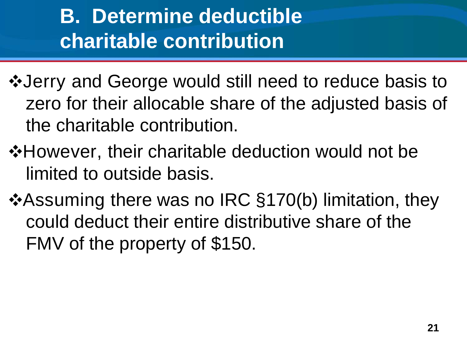#### **B. Determine deductible charitable contribution**

- ❖Jerry and George would still need to reduce basis to zero for their allocable share of the adjusted basis of the charitable contribution.
- ❖However, their charitable deduction would not be limited to outside basis.
- ❖Assuming there was no IRC §170(b) limitation, they could deduct their entire distributive share of the FMV of the property of \$150.